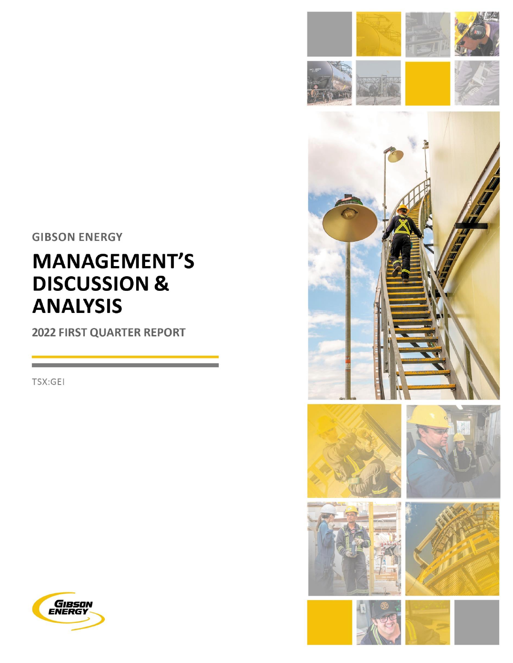**GIBSON ENERGY** 

# **MANAGEMENT'S DISCUSSION & ANALYSIS**

**2022 FIRST QUARTER REPORT** 

TSX:GEI



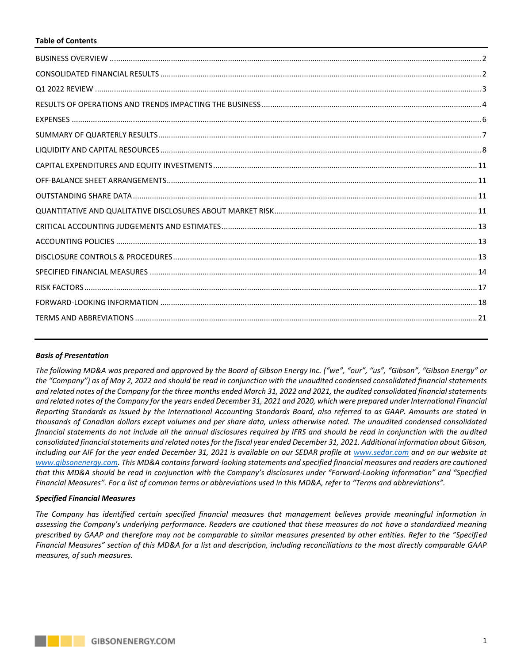## **Table of Contents**

# *Basis of Presentation*

*The following MD&A was prepared and approved by the Board of Gibson Energy Inc. ("we", "our", "us", "Gibson", "Gibson Energy" or the "Company") as of May 2, 2022 and should be read in conjunction with the unaudited condensed consolidated financial statements and related notes of the Company for the three months ended March 31, 2022 and 2021, the audited consolidated financial statements and related notes of the Company for the years ended December 31, 2021 and 2020, which were prepared under International Financial Reporting Standards as issued by the International Accounting Standards Board, also referred to as GAAP. Amounts are stated in thousands of Canadian dollars except volumes and per share data, unless otherwise noted. The unaudited condensed consolidated financial statements do not include all the annual disclosures required by IFRS and should be read in conjunction with the audited consolidated financial statements and related notes for the fiscal year ended December 31, 2021. Additional information about Gibson, including our AIF for the year ended December 31, 2021 is available on our SEDAR profile at [www.sedar.com](http://www.sedar.com/) and on our website at [www.gibsonenergy.com.](http://www.gibsonenergy.com/) This MD&A contains forward-looking statements and specified financial measures and readers are cautioned that this MD&A should be read in conjunction with the Company's disclosures under "Forward-Looking Information" and "Specified Financial Measures". For a list of common terms or abbreviations used in this MD&A, refer to "Terms and abbreviations".* 

## *Specified Financial Measures*

*The Company has identified certain specified financial measures that management believes provide meaningful information in assessing the Company's underlying performance. Readers are cautioned that these measures do not have a standardized meaning prescribed by GAAP and therefore may not be comparable to similar measures presented by other entities. Refer to the "Specified Financial Measures" section of this MD&A for a list and description, including reconciliations to the most directly comparable GAAP measures, of such measures.*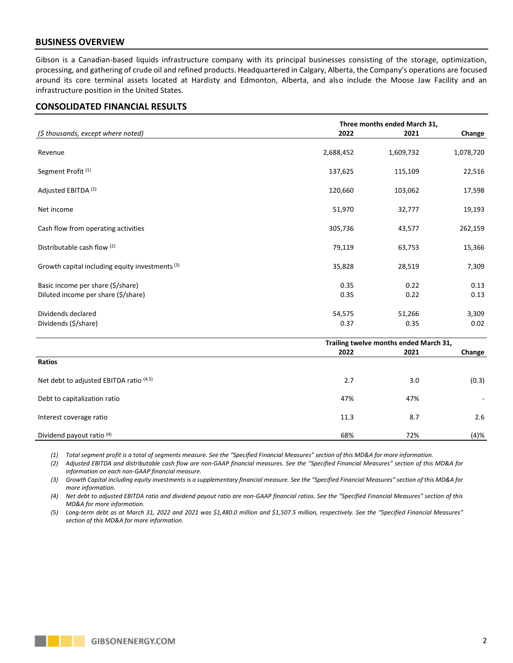# <span id="page-2-0"></span>**BUSINESS OVERVIEW**

Gibson is a Canadian-based liquids infrastructure company with its principal businesses consisting of the storage, optimization, processing, and gathering of crude oil and refined products. Headquartered in Calgary, Alberta, the Company's operations are focused around its core terminal assets located at Hardisty and Edmonton, Alberta, and also include the Moose Jaw Facility and an infrastructure position in the United States.

# <span id="page-2-1"></span>**CONSOLIDATED FINANCIAL RESULTS**

|                                                                          |                | Three months ended March 31,           |               |  |  |
|--------------------------------------------------------------------------|----------------|----------------------------------------|---------------|--|--|
| (\$ thousands, except where noted)                                       | 2022           | 2021                                   | Change        |  |  |
| Revenue                                                                  | 2,688,452      | 1,609,732                              | 1,078,720     |  |  |
| Segment Profit <sup>(1)</sup>                                            | 137,625        | 115,109                                | 22,516        |  |  |
| Adjusted EBITDA <sup>(2)</sup>                                           | 120,660        | 103,062                                | 17,598        |  |  |
| Net income                                                               | 51,970         | 32,777                                 | 19,193        |  |  |
| Cash flow from operating activities                                      | 305,736        | 43,577                                 | 262,159       |  |  |
| Distributable cash flow (2)                                              | 79,119         | 63,753                                 | 15,366        |  |  |
| Growth capital including equity investments (3)                          | 35,828         | 28,519                                 | 7,309         |  |  |
| Basic income per share (\$/share)<br>Diluted income per share (\$/share) | 0.35<br>0.35   | 0.22<br>0.22                           | 0.13<br>0.13  |  |  |
| Dividends declared<br>Dividends (\$/share)                               | 54,575<br>0.37 | 51,266<br>0.35                         | 3,309<br>0.02 |  |  |
|                                                                          |                | Trailing twelve months ended March 31, |               |  |  |

|                                         | Trailing twelve months ended March 31, |      |                          |  |
|-----------------------------------------|----------------------------------------|------|--------------------------|--|
|                                         | 2022                                   | 2021 | Change                   |  |
| Ratios                                  |                                        |      |                          |  |
| Net debt to adjusted EBITDA ratio (4,5) | 2.7                                    | 3.0  | (0.3)                    |  |
| Debt to capitalization ratio            | 47%                                    | 47%  | $\overline{\phantom{a}}$ |  |
| Interest coverage ratio                 | 11.3                                   | 8.7  | 2.6                      |  |
| Dividend payout ratio (4)               | 68%                                    | 72%  | (4)%                     |  |

*(1) Total segment profit is a total of segments measure. See the "Specified Financial Measures" section of this MD&A for more information.*

*(2) Adjusted EBITDA and distributable cash flow are non-GAAP financial measures. See the "Specified Financial Measures" section of this MD&A for information on each non-GAAP financial measure.*

*(3) Growth Capital including equity investments is a supplementary financial measure. See the "Specified Financial Measures" section of this MD&A for more information.*

*(4) Net debt to adjusted EBITDA ratio and dividend payout ratio are non-GAAP financial ratios. See the "Specified Financial Measures" section of this MD&A for more information.*

*(5) Long-term debt as at March 31, 2022 and 2021 was \$1,480.0 million and \$1,507.5 million, respectively. See the "Specified Financial Measures" section of this MD&A for more information.*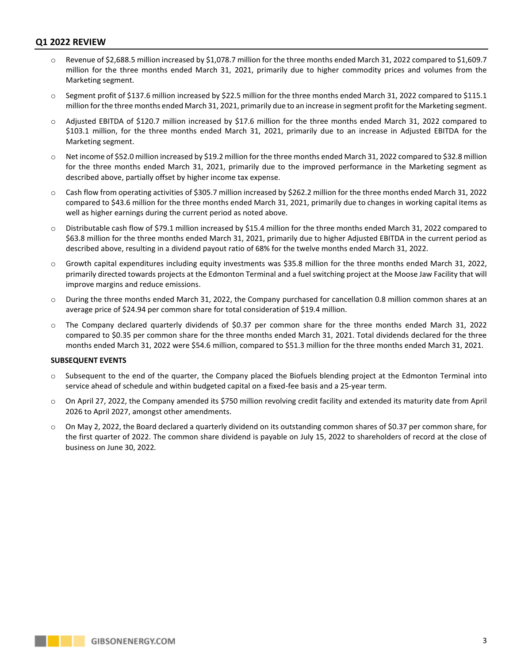# <span id="page-3-0"></span>**Q1 2022 REVIEW**

- o Revenue of \$2,688.5 million increased by \$1,078.7 million for the three months ended March 31, 2022 compared to \$1,609.7 million for the three months ended March 31, 2021, primarily due to higher commodity prices and volumes from the Marketing segment.
- o Segment profit of \$137.6 million increased by \$22.5 million for the three months ended March 31, 2022 compared to \$115.1 million for the three months ended March 31, 2021, primarily due to an increase in segment profit for the Marketing segment.
- o Adjusted EBITDA of \$120.7 million increased by \$17.6 million for the three months ended March 31, 2022 compared to \$103.1 million, for the three months ended March 31, 2021, primarily due to an increase in Adjusted EBITDA for the Marketing segment.
- o Net income of \$52.0 million increased by \$19.2 million for the three months ended March 31, 2022 compared to \$32.8 million for the three months ended March 31, 2021, primarily due to the improved performance in the Marketing segment as described above, partially offset by higher income tax expense.
- o Cash flow from operating activities of \$305.7 million increased by \$262.2 million for the three months ended March 31, 2022 compared to \$43.6 million for the three months ended March 31, 2021, primarily due to changes in working capital items as well as higher earnings during the current period as noted above.
- o Distributable cash flow of \$79.1 million increased by \$15.4 million for the three months ended March 31, 2022 compared to \$63.8 million for the three months ended March 31, 2021, primarily due to higher Adjusted EBITDA in the current period as described above, resulting in a dividend payout ratio of 68% for the twelve months ended March 31, 2022.
- o Growth capital expenditures including equity investments was \$35.8 million for the three months ended March 31, 2022, primarily directed towards projects at the Edmonton Terminal and a fuel switching project at the Moose Jaw Facility that will improve margins and reduce emissions.
- o During the three months ended March 31, 2022, the Company purchased for cancellation 0.8 million common shares at an average price of \$24.94 per common share for total consideration of \$19.4 million.
- o The Company declared quarterly dividends of \$0.37 per common share for the three months ended March 31, 2022 compared to \$0.35 per common share for the three months ended March 31, 2021. Total dividends declared for the three months ended March 31, 2022 were \$54.6 million, compared to \$51.3 million for the three months ended March 31, 2021.

## **SUBSEQUENT EVENTS**

- o Subsequent to the end of the quarter, the Company placed the Biofuels blending project at the Edmonton Terminal into service ahead of schedule and within budgeted capital on a fixed-fee basis and a 25-year term.
- o On April 27, 2022, the Company amended its \$750 million revolving credit facility and extended its maturity date from April 2026 to April 2027, amongst other amendments.
- o On May 2, 2022, the Board declared a quarterly dividend on its outstanding common shares of \$0.37 per common share, for the first quarter of 2022. The common share dividend is payable on July 15, 2022 to shareholders of record at the close of business on June 30, 2022*.*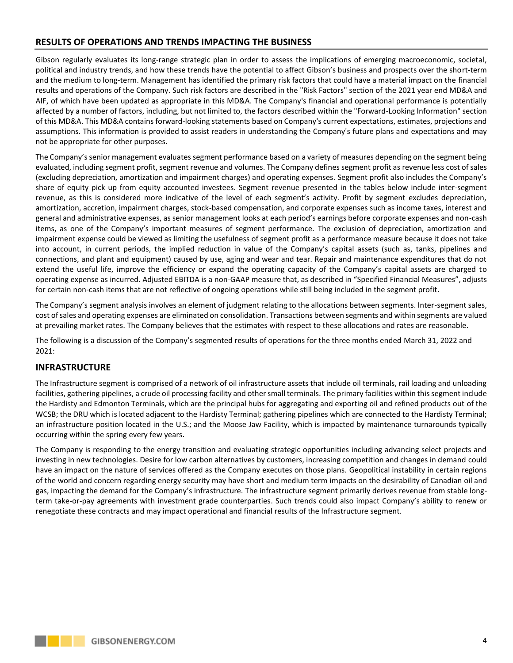# <span id="page-4-0"></span>**RESULTS OF OPERATIONS AND TRENDS IMPACTING THE BUSINESS**

Gibson regularly evaluates its long-range strategic plan in order to assess the implications of emerging macroeconomic, societal, political and industry trends, and how these trends have the potential to affect Gibson's business and prospects over the short-term and the medium to long-term. Management has identified the primary risk factors that could have a material impact on the financial results and operations of the Company. Such risk factors are described in the "Risk Factors" section of the 2021 year end MD&A and AIF, of which have been updated as appropriate in this MD&A. The Company's financial and operational performance is potentially affected by a number of factors, including, but not limited to, the factors described within the "Forward-Looking Information" section of this MD&A. This MD&A contains forward-looking statements based on Company's current expectations, estimates, projections and assumptions. This information is provided to assist readers in understanding the Company's future plans and expectations and may not be appropriate for other purposes.

The Company's senior management evaluates segment performance based on a variety of measures depending on the segment being evaluated, including segment profit, segment revenue and volumes. The Company defines segment profit as revenue less cost of sales (excluding depreciation, amortization and impairment charges) and operating expenses. Segment profit also includes the Company's share of equity pick up from equity accounted investees. Segment revenue presented in the tables below include inter-segment revenue, as this is considered more indicative of the level of each segment's activity. Profit by segment excludes depreciation, amortization, accretion, impairment charges, stock-based compensation, and corporate expenses such as income taxes, interest and general and administrative expenses, as senior management looks at each period's earnings before corporate expenses and non-cash items, as one of the Company's important measures of segment performance. The exclusion of depreciation, amortization and impairment expense could be viewed as limiting the usefulness of segment profit as a performance measure because it does not take into account, in current periods, the implied reduction in value of the Company's capital assets (such as, tanks, pipelines and connections, and plant and equipment) caused by use, aging and wear and tear. Repair and maintenance expenditures that do not extend the useful life, improve the efficiency or expand the operating capacity of the Company's capital assets are charged to operating expense as incurred. Adjusted EBITDA is a non-GAAP measure that, as described in "Specified Financial Measures", adjusts for certain non-cash items that are not reflective of ongoing operations while still being included in the segment profit.

The Company's segment analysis involves an element of judgment relating to the allocations between segments. Inter-segment sales, cost of sales and operating expenses are eliminated on consolidation. Transactions between segments and within segments are valued at prevailing market rates. The Company believes that the estimates with respect to these allocations and rates are reasonable.

The following is a discussion of the Company's segmented results of operations for the three months ended March 31, 2022 and 2021:

# **INFRASTRUCTURE**

The Infrastructure segment is comprised of a network of oil infrastructure assets that include oil terminals, rail loading and unloading facilities, gathering pipelines, a crude oil processing facility and other small terminals. The primary facilities within this segment include the Hardisty and Edmonton Terminals, which are the principal hubs for aggregating and exporting oil and refined products out of the WCSB; the DRU which is located adjacent to the Hardisty Terminal; gathering pipelines which are connected to the Hardisty Terminal; an infrastructure position located in the U.S.; and the Moose Jaw Facility, which is impacted by maintenance turnarounds typically occurring within the spring every few years.

The Company is responding to the energy transition and evaluating strategic opportunities including advancing select projects and investing in new technologies. Desire for low carbon alternatives by customers, increasing competition and changes in demand could have an impact on the nature of services offered as the Company executes on those plans. Geopolitical instability in certain regions of the world and concern regarding energy security may have short and medium term impacts on the desirability of Canadian oil and gas, impacting the demand for the Company's infrastructure. The infrastructure segment primarily derives revenue from stable longterm take-or-pay agreements with investment grade counterparties. Such trends could also impact Company's ability to renew or renegotiate these contracts and may impact operational and financial results of the Infrastructure segment.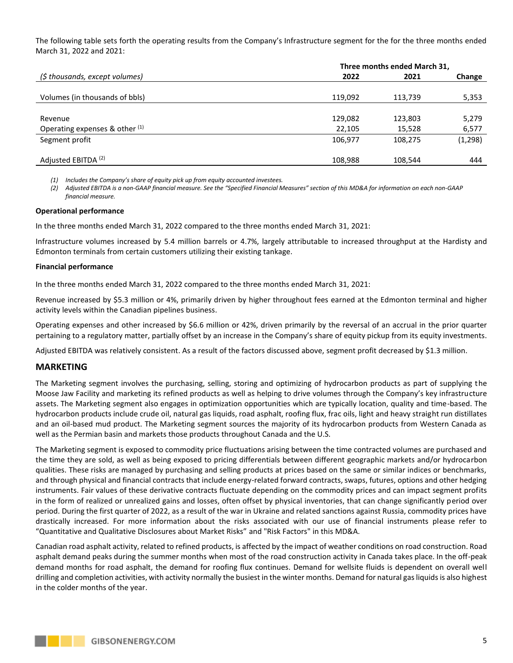The following table sets forth the operating results from the Company's Infrastructure segment for the for the three months ended March 31, 2022 and 2021:

|                                | Three months ended March 31, |         |          |  |  |
|--------------------------------|------------------------------|---------|----------|--|--|
| (\$ thousands, except volumes) | 2022                         | 2021    | Change   |  |  |
|                                |                              |         |          |  |  |
| Volumes (in thousands of bbls) | 119,092                      | 113.739 | 5,353    |  |  |
|                                |                              |         |          |  |  |
| Revenue                        | 129,082                      | 123,803 | 5,279    |  |  |
| Operating expenses & other (1) | 22,105                       | 15,528  | 6,577    |  |  |
| Segment profit                 | 106,977                      | 108,275 | (1, 298) |  |  |
|                                |                              |         |          |  |  |
| Adjusted EBITDA <sup>(2)</sup> | 108,988                      | 108.544 | 444      |  |  |

*(1) Includes the Company's share of equity pick up from equity accounted investees.* 

*(2) Adjusted EBITDA is a non-GAAP financial measure. See the "Specified Financial Measures" section of this MD&A for information on each non-GAAP financial measure.*

#### **Operational performance**

In the three months ended March 31, 2022 compared to the three months ended March 31, 2021:

Infrastructure volumes increased by 5.4 million barrels or 4.7%, largely attributable to increased throughput at the Hardisty and Edmonton terminals from certain customers utilizing their existing tankage.

#### **Financial performance**

In the three months ended March 31, 2022 compared to the three months ended March 31, 2021:

Revenue increased by \$5.3 million or 4%, primarily driven by higher throughout fees earned at the Edmonton terminal and higher activity levels within the Canadian pipelines business.

Operating expenses and other increased by \$6.6 million or 42%, driven primarily by the reversal of an accrual in the prior quarter pertaining to a regulatory matter, partially offset by an increase in the Company's share of equity pickup from its equity investments.

Adjusted EBITDA was relatively consistent. As a result of the factors discussed above, segment profit decreased by \$1.3 million.

## **MARKETING**

The Marketing segment involves the purchasing, selling, storing and optimizing of hydrocarbon products as part of supplying the Moose Jaw Facility and marketing its refined products as well as helping to drive volumes through the Company's key infrastructure assets. The Marketing segment also engages in optimization opportunities which are typically location, quality and time-based. The hydrocarbon products include crude oil, natural gas liquids, road asphalt, roofing flux, frac oils, light and heavy straight run distillates and an oil-based mud product. The Marketing segment sources the majority of its hydrocarbon products from Western Canada as well as the Permian basin and markets those products throughout Canada and the U.S.

The Marketing segment is exposed to commodity price fluctuations arising between the time contracted volumes are purchased and the time they are sold, as well as being exposed to pricing differentials between different geographic markets and/or hydrocarbon qualities. These risks are managed by purchasing and selling products at prices based on the same or similar indices or benchmarks, and through physical and financial contracts that include energy-related forward contracts, swaps, futures, options and other hedging instruments. Fair values of these derivative contracts fluctuate depending on the commodity prices and can impact segment profits in the form of realized or unrealized gains and losses, often offset by physical inventories, that can change significantly period over period. During the first quarter of 2022, as a result of the war in Ukraine and related sanctions against Russia, commodity prices have drastically increased. For more information about the risks associated with our use of financial instruments please refer to "Quantitative and Qualitative Disclosures about Market Risks" and "Risk Factors" in this MD&A.

Canadian road asphalt activity, related to refined products, is affected by the impact of weather conditions on road construction. Road asphalt demand peaks during the summer months when most of the road construction activity in Canada takes place. In the off-peak demand months for road asphalt, the demand for roofing flux continues. Demand for wellsite fluids is dependent on overall well drilling and completion activities, with activity normally the busiest in the winter months. Demand for natural gas liquids is also highest in the colder months of the year.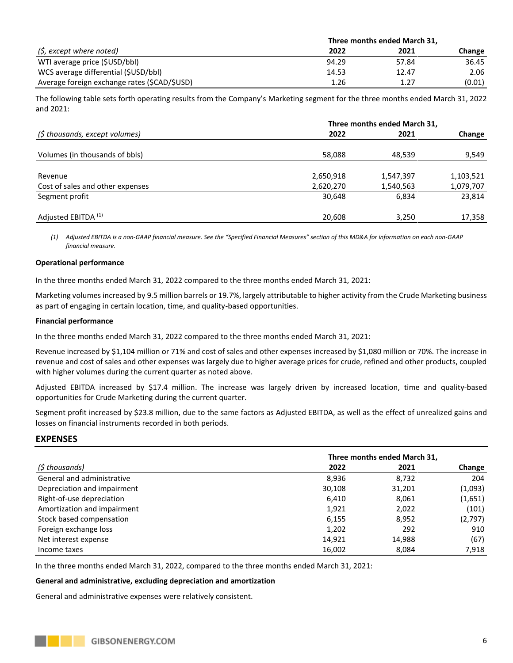|                                              |       | Three months ended March 31, |        |
|----------------------------------------------|-------|------------------------------|--------|
| (\$, except where noted)                     | 2022  | 2021                         | Change |
| WTI average price (\$USD/bbl)                | 94.29 | 57.84                        | 36.45  |
| WCS average differential (\$USD/bbl)         | 14.53 | 12.47                        | 2.06   |
| Average foreign exchange rates (\$CAD/\$USD) | 1.26  | 1.27                         | (0.01) |

The following table sets forth operating results from the Company's Marketing segment for the three months ended March 31, 2022 and 2021:

|                                  | Three months ended March 31, |           |           |  |  |
|----------------------------------|------------------------------|-----------|-----------|--|--|
| (\$ thousands, except volumes)   | 2022                         | 2021      | Change    |  |  |
|                                  |                              |           |           |  |  |
| Volumes (in thousands of bbls)   | 58,088                       | 48,539    | 9,549     |  |  |
| Revenue                          | 2,650,918                    | 1,547,397 | 1,103,521 |  |  |
| Cost of sales and other expenses | 2,620,270                    | 1,540,563 | 1,079,707 |  |  |
| Segment profit                   | 30,648                       | 6,834     | 23,814    |  |  |
| Adjusted EBITDA <sup>(1)</sup>   | 20,608                       | 3,250     | 17,358    |  |  |

*(1) Adjusted EBITDA is a non-GAAP financial measure. See the "Specified Financial Measures" section of this MD&A for information on each non-GAAP financial measure.*

## **Operational performance**

In the three months ended March 31, 2022 compared to the three months ended March 31, 2021:

Marketing volumes increased by 9.5 million barrels or 19.7%, largely attributable to higher activity from the Crude Marketing business as part of engaging in certain location, time, and quality-based opportunities.

#### **Financial performance**

In the three months ended March 31, 2022 compared to the three months ended March 31, 2021:

Revenue increased by \$1,104 million or 71% and cost of sales and other expenses increased by \$1,080 million or 70%. The increase in revenue and cost of sales and other expenses was largely due to higher average prices for crude, refined and other products, coupled with higher volumes during the current quarter as noted above.

Adjusted EBITDA increased by \$17.4 million. The increase was largely driven by increased location, time and quality-based opportunities for Crude Marketing during the current quarter.

Segment profit increased by \$23.8 million, due to the same factors as Adjusted EBITDA, as well as the effect of unrealized gains and losses on financial instruments recorded in both periods.

# <span id="page-6-0"></span>**EXPENSES**

|                             | Three months ended March 31, |        |         |  |
|-----------------------------|------------------------------|--------|---------|--|
| (\$ thousands)              | 2022                         | 2021   | Change  |  |
| General and administrative  | 8,936                        | 8,732  | 204     |  |
| Depreciation and impairment | 30,108                       | 31,201 | (1,093) |  |
| Right-of-use depreciation   | 6,410                        | 8,061  | (1,651) |  |
| Amortization and impairment | 1,921                        | 2,022  | (101)   |  |
| Stock based compensation    | 6,155                        | 8,952  | (2,797) |  |
| Foreign exchange loss       | 1,202                        | 292    | 910     |  |
| Net interest expense        | 14,921                       | 14,988 | (67)    |  |
| Income taxes                | 16,002                       | 8,084  | 7.918   |  |

In the three months ended March 31, 2022, compared to the three months ended March 31, 2021:

#### **General and administrative, excluding depreciation and amortization**

General and administrative expenses were relatively consistent.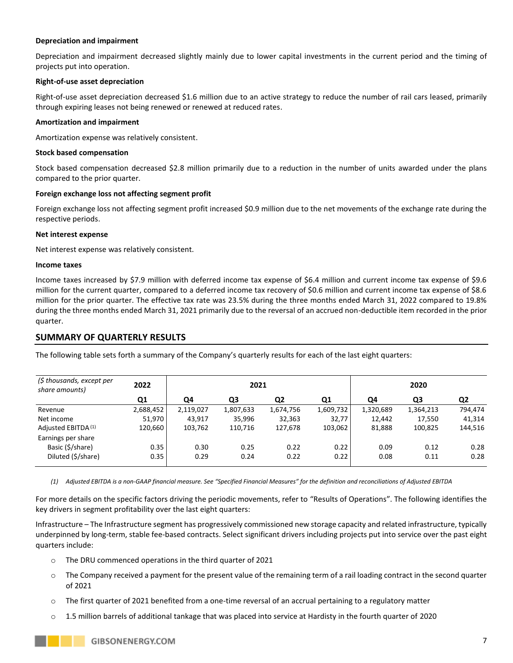## **Depreciation and impairment**

Depreciation and impairment decreased slightly mainly due to lower capital investments in the current period and the timing of projects put into operation.

## **Right-of-use asset depreciation**

Right-of-use asset depreciation decreased \$1.6 million due to an active strategy to reduce the number of rail cars leased, primarily through expiring leases not being renewed or renewed at reduced rates.

## **Amortization and impairment**

Amortization expense was relatively consistent.

## **Stock based compensation**

Stock based compensation decreased \$2.8 million primarily due to a reduction in the number of units awarded under the plans compared to the prior quarter.

## **Foreign exchange loss not affecting segment profit**

Foreign exchange loss not affecting segment profit increased \$0.9 million due to the net movements of the exchange rate during the respective periods.

## **Net interest expense**

Net interest expense was relatively consistent.

## **Income taxes**

Income taxes increased by \$7.9 million with deferred income tax expense of \$6.4 million and current income tax expense of \$9.6 million for the current quarter, compared to a deferred income tax recovery of \$0.6 million and current income tax expense of \$8.6 million for the prior quarter. The effective tax rate was 23.5% during the three months ended March 31, 2022 compared to 19.8% during the three months ended March 31, 2021 primarily due to the reversal of an accrued non-deductible item recorded in the prior quarter.

# <span id="page-7-0"></span>**SUMMARY OF QUARTERLY RESULTS**

The following table sets forth a summary of the Company's quarterly results for each of the last eight quarters:

| (\$ thousands, except per<br>share amounts) | 2022      | 2021      |           |                |           | 2020      |           |         |
|---------------------------------------------|-----------|-----------|-----------|----------------|-----------|-----------|-----------|---------|
|                                             | Q1        | Q4        | Q3        | Q <sub>2</sub> | Q1        | Q4        | Q3        | Q2      |
| Revenue                                     | 2,688,452 | 2,119,027 | 1,807,633 | 1,674,756      | 1,609,732 | 1,320,689 | 1,364,213 | 794,474 |
| Net income                                  | 51,970    | 43,917    | 35,996    | 32,363         | 32,77     | 12,442    | 17,550    | 41,314  |
| Adjusted EBITDA <sup>(1)</sup>              | 120,660   | 103,762   | 110,716   | 127,678        | 103,062   | 81,888    | 100,825   | 144,516 |
| Earnings per share                          |           |           |           |                |           |           |           |         |
| Basic (\$/share)                            | 0.35      | 0.30      | 0.25      | 0.22           | 0.22      | 0.09      | 0.12      | 0.28    |
| Diluted (\$/share)                          | 0.35      | 0.29      | 0.24      | 0.22           | 0.22      | 0.08      | 0.11      | 0.28    |

*(1) Adjusted EBITDA is a non-GAAP financial measure. See "Specified Financial Measures" for the definition and reconciliations of Adjusted EBITDA*

For more details on the specific factors driving the periodic movements, refer to "Results of Operations". The following identifies the key drivers in segment profitability over the last eight quarters:

Infrastructure – The Infrastructure segment has progressively commissioned new storage capacity and related infrastructure, typically underpinned by long-term, stable fee-based contracts. Select significant drivers including projects put into service over the past eight quarters include:

- o The DRU commenced operations in the third quarter of 2021
- $\circ$  The Company received a payment for the present value of the remaining term of a rail loading contract in the second quarter of 2021
- $\circ$  The first quarter of 2021 benefited from a one-time reversal of an accrual pertaining to a regulatory matter
- o 1.5 million barrels of additional tankage that was placed into service at Hardisty in the fourth quarter of 2020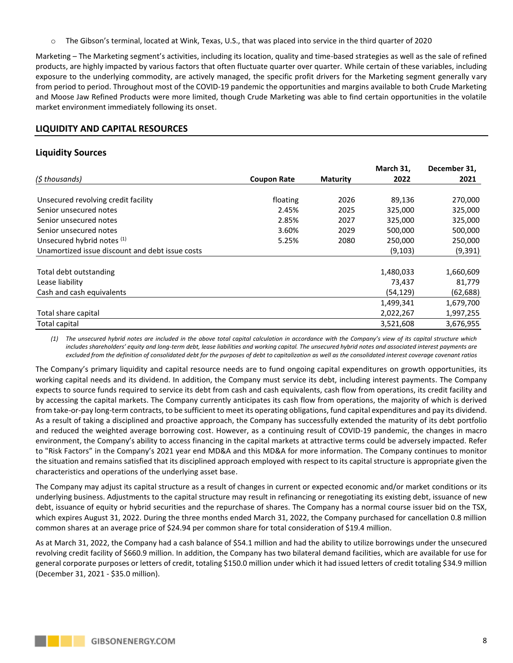o The Gibson's terminal, located at Wink, Texas, U.S., that was placed into service in the third quarter of 2020

Marketing – The Marketing segment's activities, including its location, quality and time-based strategies as well as the sale of refined products, are highly impacted by various factors that often fluctuate quarter over quarter. While certain of these variables, including exposure to the underlying commodity, are actively managed, the specific profit drivers for the Marketing segment generally vary from period to period. Throughout most of the COVID-19 pandemic the opportunities and margins available to both Crude Marketing and Moose Jaw Refined Products were more limited, though Crude Marketing was able to find certain opportunities in the volatile market environment immediately following its onset.

# <span id="page-8-0"></span>**LIQUIDITY AND CAPITAL RESOURCES**

# **Liquidity Sources**

|                                                 |                    |                 | March 31, | December 31, |
|-------------------------------------------------|--------------------|-----------------|-----------|--------------|
| (\$ thousands)                                  | <b>Coupon Rate</b> | <b>Maturity</b> | 2022      | 2021         |
|                                                 |                    |                 |           |              |
| Unsecured revolving credit facility             | floating           | 2026            | 89,136    | 270,000      |
| Senior unsecured notes                          | 2.45%              | 2025            | 325,000   | 325,000      |
| Senior unsecured notes                          | 2.85%              | 2027            | 325,000   | 325,000      |
| Senior unsecured notes                          | 3.60%              | 2029            | 500,000   | 500,000      |
| Unsecured hybrid notes (1)                      | 5.25%              | 2080            | 250,000   | 250,000      |
| Unamortized issue discount and debt issue costs |                    |                 | (9, 103)  | (9, 391)     |
| Total debt outstanding                          |                    |                 | 1,480,033 | 1,660,609    |
| Lease liability                                 |                    |                 | 73,437    | 81,779       |
| Cash and cash equivalents                       |                    |                 | (54, 129) | (62, 688)    |
|                                                 |                    |                 | 1,499,341 | 1,679,700    |
| Total share capital                             |                    |                 | 2,022,267 | 1,997,255    |
| Total capital                                   |                    |                 | 3,521,608 | 3,676,955    |

*(1) The unsecured hybrid notes are included in the above total capital calculation in accordance with the Company's view of its capital structure which includes shareholders' equity and long-term debt, lease liabilities and working capital. The unsecured hybrid notes and associated interest payments are excluded from the definition of consolidated debt for the purposes of debt to capitalization as well as the consolidated interest coverage covenant ratios*

The Company's primary liquidity and capital resource needs are to fund ongoing capital expenditures on growth opportunities, its working capital needs and its dividend. In addition, the Company must service its debt, including interest payments. The Company expects to source funds required to service its debt from cash and cash equivalents, cash flow from operations, its credit facility and by accessing the capital markets. The Company currently anticipates its cash flow from operations, the majority of which is derived from take-or-pay long-term contracts, to be sufficient to meet its operating obligations, fund capital expenditures and pay its dividend. As a result of taking a disciplined and proactive approach, the Company has successfully extended the maturity of its debt portfolio and reduced the weighted average borrowing cost. However, as a continuing result of COVID-19 pandemic, the changes in macro environment, the Company's ability to access financing in the capital markets at attractive terms could be adversely impacted. Refer to "Risk Factors" in the Company's 2021 year end MD&A and this MD&A for more information. The Company continues to monitor the situation and remains satisfied that its disciplined approach employed with respect to its capital structure is appropriate given the characteristics and operations of the underlying asset base.

The Company may adjust its capital structure as a result of changes in current or expected economic and/or market conditions or its underlying business. Adjustments to the capital structure may result in refinancing or renegotiating its existing debt, issuance of new debt, issuance of equity or hybrid securities and the repurchase of shares. The Company has a normal course issuer bid on the TSX, which expires August 31, 2022. During the three months ended March 31, 2022, the Company purchased for cancellation 0.8 million common shares at an average price of \$24.94 per common share for total consideration of \$19.4 million.

As at March 31, 2022, the Company had a cash balance of \$54.1 million and had the ability to utilize borrowings under the unsecured revolving credit facility of \$660.9 million. In addition, the Company has two bilateral demand facilities, which are available for use for general corporate purposes or letters of credit, totaling \$150.0 million under which it had issued letters of credit totaling \$34.9 million (December 31, 2021 - \$35.0 million).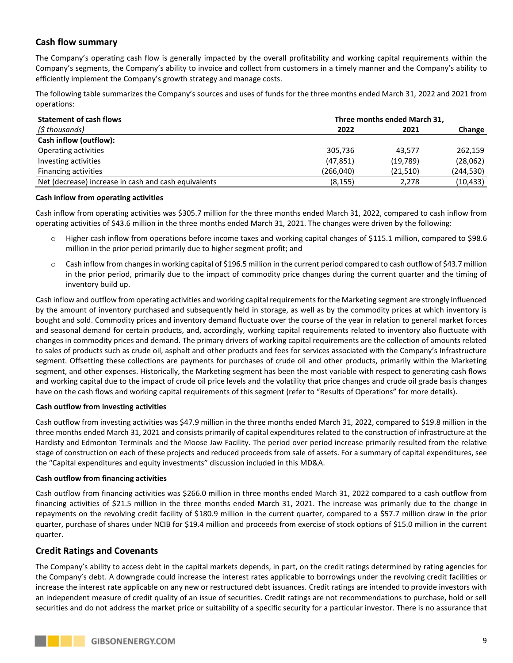# **Cash flow summary**

The Company's operating cash flow is generally impacted by the overall profitability and working capital requirements within the Company's segments, the Company's ability to invoice and collect from customers in a timely manner and the Company's ability to efficiently implement the Company's growth strategy and manage costs.

The following table summarizes the Company's sources and uses of funds for the three months ended March 31, 2022 and 2021 from operations:

| <b>Statement of cash flows</b>                       | Three months ended March 31, |          |           |
|------------------------------------------------------|------------------------------|----------|-----------|
| (\$ thousands)                                       | 2022                         | 2021     | Change    |
| Cash inflow (outflow):                               |                              |          |           |
| Operating activities                                 | 305,736                      | 43.577   | 262.159   |
| Investing activities                                 | (47, 851)                    | (19,789) | (28,062)  |
| <b>Financing activities</b>                          | (266,040)                    | (21,510) | (244,530) |
| Net (decrease) increase in cash and cash equivalents | (8, 155)                     | 2.278    | (10, 433) |

## **Cash inflow from operating activities**

Cash inflow from operating activities was \$305.7 million for the three months ended March 31, 2022, compared to cash inflow from operating activities of \$43.6 million in the three months ended March 31, 2021. The changes were driven by the following:

- o Higher cash inflow from operations before income taxes and working capital changes of \$115.1 million, compared to \$98.6 million in the prior period primarily due to higher segment profit; and
- o Cash inflow from changes in working capital of \$196.5 million in the current period compared to cash outflow of \$43.7 million in the prior period, primarily due to the impact of commodity price changes during the current quarter and the timing of inventory build up.

Cash inflow and outflow from operating activities and working capital requirements for the Marketing segment are strongly influenced by the amount of inventory purchased and subsequently held in storage, as well as by the commodity prices at which inventory is bought and sold. Commodity prices and inventory demand fluctuate over the course of the year in relation to general market forces and seasonal demand for certain products, and, accordingly, working capital requirements related to inventory also fluctuate with changes in commodity prices and demand. The primary drivers of working capital requirements are the collection of amounts related to sales of products such as crude oil, asphalt and other products and fees for services associated with the Company's Infrastructure segment. Offsetting these collections are payments for purchases of crude oil and other products, primarily within the Marketing segment, and other expenses. Historically, the Marketing segment has been the most variable with respect to generating cash flows and working capital due to the impact of crude oil price levels and the volatility that price changes and crude oil grade basis changes have on the cash flows and working capital requirements of this segment (refer to "Results of Operations" for more details).

## **Cash outflow from investing activities**

Cash outflow from investing activities was \$47.9 million in the three months ended March 31, 2022, compared to \$19.8 million in the three months ended March 31, 2021 and consists primarily of capital expenditures related to the construction of infrastructure at the Hardisty and Edmonton Terminals and the Moose Jaw Facility. The period over period increase primarily resulted from the relative stage of construction on each of these projects and reduced proceeds from sale of assets. For a summary of capital expenditures, see the "Capital expenditures and equity investments" discussion included in this MD&A.

## **Cash outflow from financing activities**

Cash outflow from financing activities was \$266.0 million in three months ended March 31, 2022 compared to a cash outflow from financing activities of \$21.5 million in the three months ended March 31, 2021. The increase was primarily due to the change in repayments on the revolving credit facility of \$180.9 million in the current quarter, compared to a \$57.7 million draw in the prior quarter, purchase of shares under NCIB for \$19.4 million and proceeds from exercise of stock options of \$15.0 million in the current quarter.

# **Credit Ratings and Covenants**

The Company's ability to access debt in the capital markets depends, in part, on the credit ratings determined by rating agencies for the Company's debt. A downgrade could increase the interest rates applicable to borrowings under the revolving credit facilities or increase the interest rate applicable on any new or restructured debt issuances. Credit ratings are intended to provide investors with an independent measure of credit quality of an issue of securities. Credit ratings are not recommendations to purchase, hold or sell securities and do not address the market price or suitability of a specific security for a particular investor. There is no assurance that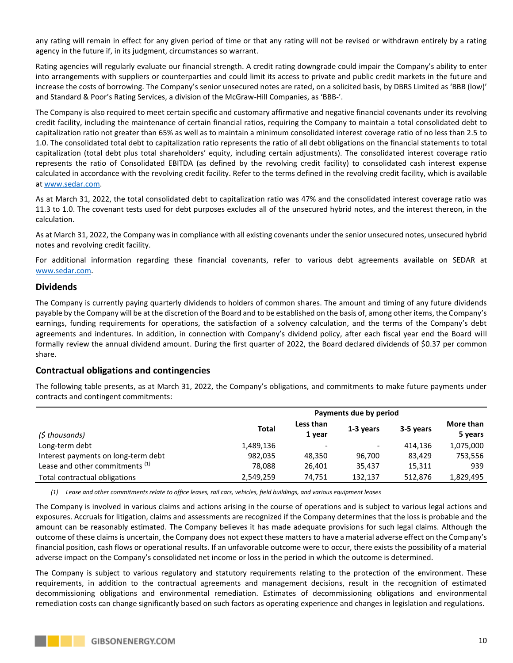any rating will remain in effect for any given period of time or that any rating will not be revised or withdrawn entirely by a rating agency in the future if, in its judgment, circumstances so warrant.

Rating agencies will regularly evaluate our financial strength. A credit rating downgrade could impair the Company's ability to enter into arrangements with suppliers or counterparties and could limit its access to private and public credit markets in the future and increase the costs of borrowing. The Company's senior unsecured notes are rated, on a solicited basis, by DBRS Limited as 'BBB (low)' and Standard & Poor's Rating Services, a division of the McGraw-Hill Companies, as 'BBB-'.

The Company is also required to meet certain specific and customary affirmative and negative financial covenants under its revolving credit facility, including the maintenance of certain financial ratios, requiring the Company to maintain a total consolidated debt to capitalization ratio not greater than 65% as well as to maintain a minimum consolidated interest coverage ratio of no less than 2.5 to 1.0. The consolidated total debt to capitalization ratio represents the ratio of all debt obligations on the financial statements to total capitalization (total debt plus total shareholders' equity, including certain adjustments). The consolidated interest coverage ratio represents the ratio of Consolidated EBITDA (as defined by the revolving credit facility) to consolidated cash interest expense calculated in accordance with the revolving credit facility. Refer to the terms defined in the revolving credit facility, which is available at [www.sedar.com.](http://www.sedar.com/)

As at March 31, 2022, the total consolidated debt to capitalization ratio was 47% and the consolidated interest coverage ratio was 11.3 to 1.0. The covenant tests used for debt purposes excludes all of the unsecured hybrid notes, and the interest thereon, in the calculation.

As at March 31, 2022, the Company was in compliance with all existing covenants under the senior unsecured notes, unsecured hybrid notes and revolving credit facility.

For additional information regarding these financial covenants, refer to various debt agreements available on SEDAR at [www.sedar.com.](http://www.sedar.com/)

# **Dividends**

The Company is currently paying quarterly dividends to holders of common shares. The amount and timing of any future dividends payable by the Company will be at the discretion of the Board and to be established on the basis of, among other items, the Company's earnings, funding requirements for operations, the satisfaction of a solvency calculation, and the terms of the Company's debt agreements and indentures. In addition, in connection with Company's dividend policy, after each fiscal year end the Board will formally review the annual dividend amount. During the first quarter of 2022, the Board declared dividends of \$0.37 per common share.

# **Contractual obligations and contingencies**

The following table presents, as at March 31, 2022, the Company's obligations, and commitments to make future payments under contracts and contingent commitments:

|                                            | Payments due by period |                          |                          |           |                      |
|--------------------------------------------|------------------------|--------------------------|--------------------------|-----------|----------------------|
| (\$ thousands)                             | <b>Total</b>           | Less than<br>1 vear      | 1-3 years                | 3-5 years | More than<br>5 years |
| Long-term debt                             | 1,489,136              | $\overline{\phantom{a}}$ | $\overline{\phantom{0}}$ | 414.136   | 1,075,000            |
| Interest payments on long-term debt        | 982.035                | 48.350                   | 96.700                   | 83.429    | 753,556              |
| Lease and other commitments <sup>(1)</sup> | 78.088                 | 26.401                   | 35.437                   | 15.311    | 939                  |
| Total contractual obligations              | 2,549,259              | 74,751                   | 132,137                  | 512,876   | 1,829,495            |

*(1) Lease and other commitments relate to office leases, rail cars, vehicles, field buildings, and various equipment leases* 

The Company is involved in various claims and actions arising in the course of operations and is subject to various legal actions and exposures. Accruals for litigation, claims and assessments are recognized if the Company determines that the loss is probable and the amount can be reasonably estimated. The Company believes it has made adequate provisions for such legal claims. Although the outcome of these claims is uncertain, the Company does not expect these matters to have a material adverse effect on the Company's financial position, cash flows or operational results. If an unfavorable outcome were to occur, there exists the possibility of a material adverse impact on the Company's consolidated net income or loss in the period in which the outcome is determined.

The Company is subject to various regulatory and statutory requirements relating to the protection of the environment. These requirements, in addition to the contractual agreements and management decisions, result in the recognition of estimated decommissioning obligations and environmental remediation. Estimates of decommissioning obligations and environmental remediation costs can change significantly based on such factors as operating experience and changes in legislation and regulations.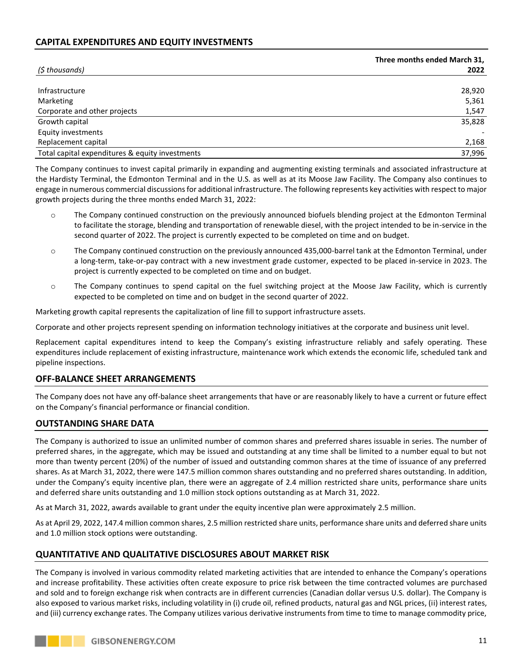# <span id="page-11-0"></span>**CAPITAL EXPENDITURES AND EQUITY INVESTMENTS**

|                                                 | Three months ended March 31, |
|-------------------------------------------------|------------------------------|
| (\$ thousands)                                  | 2022                         |
|                                                 |                              |
| Infrastructure                                  | 28,920                       |
| Marketing                                       | 5,361                        |
| Corporate and other projects                    | 1,547                        |
| Growth capital                                  | 35,828                       |
| <b>Equity investments</b>                       |                              |
| Replacement capital                             | 2,168                        |
| Total capital expenditures & equity investments | 37,996                       |

The Company continues to invest capital primarily in expanding and augmenting existing terminals and associated infrastructure at the Hardisty Terminal, the Edmonton Terminal and in the U.S. as well as at its Moose Jaw Facility. The Company also continues to engage in numerous commercial discussions for additional infrastructure. The following represents key activities with respect to major growth projects during the three months ended March 31, 2022:

- o The Company continued construction on the previously announced biofuels blending project at the Edmonton Terminal to facilitate the storage, blending and transportation of renewable diesel, with the project intended to be in-service in the second quarter of 2022. The project is currently expected to be completed on time and on budget.
- o The Company continued construction on the previously announced 435,000-barrel tank at the Edmonton Terminal, under a long-term, take-or-pay contract with a new investment grade customer, expected to be placed in-service in 2023. The project is currently expected to be completed on time and on budget.
- o The Company continues to spend capital on the fuel switching project at the Moose Jaw Facility, which is currently expected to be completed on time and on budget in the second quarter of 2022.

Marketing growth capital represents the capitalization of line fill to support infrastructure assets.

Corporate and other projects represent spending on information technology initiatives at the corporate and business unit level.

Replacement capital expenditures intend to keep the Company's existing infrastructure reliably and safely operating. These expenditures include replacement of existing infrastructure, maintenance work which extends the economic life, scheduled tank and pipeline inspections.

# <span id="page-11-1"></span>**OFF-BALANCE SHEET ARRANGEMENTS**

The Company does not have any off-balance sheet arrangements that have or are reasonably likely to have a current or future effect on the Company's financial performance or financial condition.

# <span id="page-11-2"></span>**OUTSTANDING SHARE DATA**

The Company is authorized to issue an unlimited number of common shares and preferred shares issuable in series. The number of preferred shares, in the aggregate, which may be issued and outstanding at any time shall be limited to a number equal to but not more than twenty percent (20%) of the number of issued and outstanding common shares at the time of issuance of any preferred shares. As at March 31, 2022, there were 147.5 million common shares outstanding and no preferred shares outstanding. In addition, under the Company's equity incentive plan, there were an aggregate of 2.4 million restricted share units, performance share units and deferred share units outstanding and 1.0 million stock options outstanding as at March 31, 2022.

As at March 31, 2022, awards available to grant under the equity incentive plan were approximately 2.5 million.

As at April 29, 2022, 147.4 million common shares, 2.5 million restricted share units, performance share units and deferred share units and 1.0 million stock options were outstanding.

# <span id="page-11-3"></span>**QUANTITATIVE AND QUALITATIVE DISCLOSURES ABOUT MARKET RISK**

The Company is involved in various commodity related marketing activities that are intended to enhance the Company's operations and increase profitability. These activities often create exposure to price risk between the time contracted volumes are purchased and sold and to foreign exchange risk when contracts are in different currencies (Canadian dollar versus U.S. dollar). The Company is also exposed to various market risks, including volatility in (i) crude oil, refined products, natural gas and NGL prices, (ii) interest rates, and (iii) currency exchange rates. The Company utilizes various derivative instruments from time to time to manage commodity price,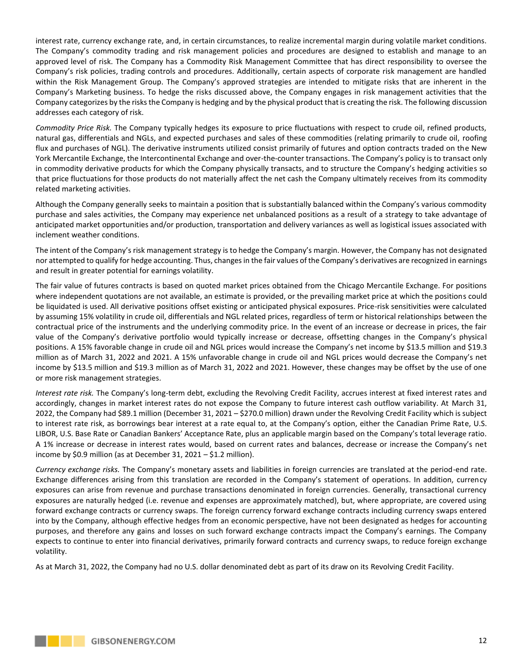interest rate, currency exchange rate, and, in certain circumstances, to realize incremental margin during volatile market conditions. The Company's commodity trading and risk management policies and procedures are designed to establish and manage to an approved level of risk. The Company has a Commodity Risk Management Committee that has direct responsibility to oversee the Company's risk policies, trading controls and procedures. Additionally, certain aspects of corporate risk management are handled within the Risk Management Group. The Company's approved strategies are intended to mitigate risks that are inherent in the Company's Marketing business. To hedge the risks discussed above, the Company engages in risk management activities that the Company categorizes by the risks the Company is hedging and by the physical product that is creating the risk. The following discussion addresses each category of risk.

*Commodity Price Risk.* The Company typically hedges its exposure to price fluctuations with respect to crude oil, refined products, natural gas, differentials and NGLs, and expected purchases and sales of these commodities (relating primarily to crude oil, roofing flux and purchases of NGL). The derivative instruments utilized consist primarily of futures and option contracts traded on the New York Mercantile Exchange, the Intercontinental Exchange and over-the-counter transactions. The Company's policy is to transact only in commodity derivative products for which the Company physically transacts, and to structure the Company's hedging activities so that price fluctuations for those products do not materially affect the net cash the Company ultimately receives from its commodity related marketing activities.

Although the Company generally seeks to maintain a position that is substantially balanced within the Company's various commodity purchase and sales activities, the Company may experience net unbalanced positions as a result of a strategy to take advantage of anticipated market opportunities and/or production, transportation and delivery variances as well as logistical issues associated with inclement weather conditions.

The intent of the Company's risk management strategy is to hedge the Company's margin. However, the Company has not designated nor attempted to qualify for hedge accounting. Thus, changes in the fair values of the Company's derivatives are recognized in earnings and result in greater potential for earnings volatility.

The fair value of futures contracts is based on quoted market prices obtained from the Chicago Mercantile Exchange. For positions where independent quotations are not available, an estimate is provided, or the prevailing market price at which the positions could be liquidated is used. All derivative positions offset existing or anticipated physical exposures. Price-risk sensitivities were calculated by assuming 15% volatility in crude oil, differentials and NGL related prices, regardless of term or historical relationships between the contractual price of the instruments and the underlying commodity price. In the event of an increase or decrease in prices, the fair value of the Company's derivative portfolio would typically increase or decrease, offsetting changes in the Company's physical positions. A 15% favorable change in crude oil and NGL prices would increase the Company's net income by \$13.5 million and \$19.3 million as of March 31, 2022 and 2021. A 15% unfavorable change in crude oil and NGL prices would decrease the Company's net income by \$13.5 million and \$19.3 million as of March 31, 2022 and 2021. However, these changes may be offset by the use of one or more risk management strategies.

*Interest rate risk.* The Company's long-term debt, excluding the Revolving Credit Facility, accrues interest at fixed interest rates and accordingly, changes in market interest rates do not expose the Company to future interest cash outflow variability. At March 31, 2022, the Company had \$89.1 million (December 31, 2021 – \$270.0 million) drawn under the Revolving Credit Facility which is subject to interest rate risk, as borrowings bear interest at a rate equal to, at the Company's option, either the Canadian Prime Rate, U.S. LIBOR, U.S. Base Rate or Canadian Bankers' Acceptance Rate, plus an applicable margin based on the Company's total leverage ratio. A 1% increase or decrease in interest rates would, based on current rates and balances, decrease or increase the Company's net income by \$0.9 million (as at December 31, 2021 – \$1.2 million).

*Currency exchange risks.* The Company's monetary assets and liabilities in foreign currencies are translated at the period-end rate. Exchange differences arising from this translation are recorded in the Company's statement of operations. In addition, currency exposures can arise from revenue and purchase transactions denominated in foreign currencies. Generally, transactional currency exposures are naturally hedged (i.e. revenue and expenses are approximately matched), but, where appropriate, are covered using forward exchange contracts or currency swaps. The foreign currency forward exchange contracts including currency swaps entered into by the Company, although effective hedges from an economic perspective, have not been designated as hedges for accounting purposes, and therefore any gains and losses on such forward exchange contracts impact the Company's earnings. The Company expects to continue to enter into financial derivatives, primarily forward contracts and currency swaps, to reduce foreign exchange volatility.

As at March 31, 2022, the Company had no U.S. dollar denominated debt as part of its draw on its Revolving Credit Facility.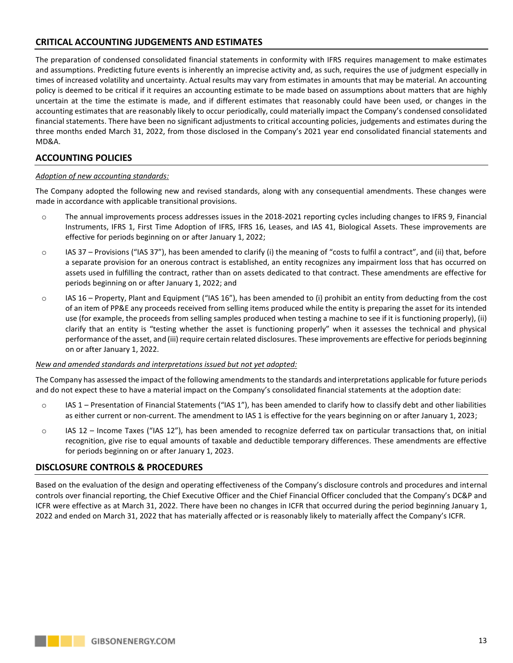# <span id="page-13-0"></span>**CRITICAL ACCOUNTING JUDGEMENTS AND ESTIMATES**

The preparation of condensed consolidated financial statements in conformity with IFRS requires management to make estimates and assumptions. Predicting future events is inherently an imprecise activity and, as such, requires the use of judgment especially in times of increased volatility and uncertainty. Actual results may vary from estimates in amounts that may be material. An accounting policy is deemed to be critical if it requires an accounting estimate to be made based on assumptions about matters that are highly uncertain at the time the estimate is made, and if different estimates that reasonably could have been used, or changes in the accounting estimates that are reasonably likely to occur periodically, could materially impact the Company's condensed consolidated financial statements. There have been no significant adjustments to critical accounting policies, judgements and estimates during the three months ended March 31, 2022, from those disclosed in the Company's 2021 year end consolidated financial statements and MD&A.

# <span id="page-13-1"></span>**ACCOUNTING POLICIES**

## *Adoption of new accounting standards:*

The Company adopted the following new and revised standards, along with any consequential amendments. These changes were made in accordance with applicable transitional provisions.

- o The annual improvements process addresses issues in the 2018-2021 reporting cycles including changes to IFRS 9, Financial Instruments, IFRS 1, First Time Adoption of IFRS, IFRS 16, Leases, and IAS 41, Biological Assets. These improvements are effective for periods beginning on or after January 1, 2022;
- o IAS 37 Provisions ("IAS 37"), has been amended to clarify (i) the meaning of "costs to fulfil a contract", and (ii) that, before a separate provision for an onerous contract is established, an entity recognizes any impairment loss that has occurred on assets used in fulfilling the contract, rather than on assets dedicated to that contract. These amendments are effective for periods beginning on or after January 1, 2022; and
- $\circ$  IAS 16 Property, Plant and Equipment ("IAS 16"), has been amended to (i) prohibit an entity from deducting from the cost of an item of PP&E any proceeds received from selling items produced while the entity is preparing the asset for its intended use (for example, the proceeds from selling samples produced when testing a machine to see if it is functioning properly), (ii) clarify that an entity is "testing whether the asset is functioning properly" when it assesses the technical and physical performance of the asset, and (iii) require certain related disclosures. These improvements are effective for periods beginning on or after January 1, 2022.

## *New and amended standards and interpretations issued but not yet adopted:*

The Company has assessed the impact of the following amendments to the standards and interpretations applicable for future periods and do not expect these to have a material impact on the Company's consolidated financial statements at the adoption date:

- $\circ$  IAS 1 Presentation of Financial Statements ("IAS 1"), has been amended to clarify how to classify debt and other liabilities as either current or non-current. The amendment to IAS 1 is effective for the years beginning on or after January 1, 2023;
- $\circ$  IAS 12 Income Taxes ("IAS 12"), has been amended to recognize deferred tax on particular transactions that, on initial recognition, give rise to equal amounts of taxable and deductible temporary differences. These amendments are effective for periods beginning on or after January 1, 2023.

# <span id="page-13-2"></span>**DISCLOSURE CONTROLS & PROCEDURES**

Based on the evaluation of the design and operating effectiveness of the Company's disclosure controls and procedures and internal controls over financial reporting, the Chief Executive Officer and the Chief Financial Officer concluded that the Company's DC&P and ICFR were effective as at March 31, 2022. There have been no changes in ICFR that occurred during the period beginning January 1, 2022 and ended on March 31, 2022 that has materially affected or is reasonably likely to materially affect the Company's ICFR.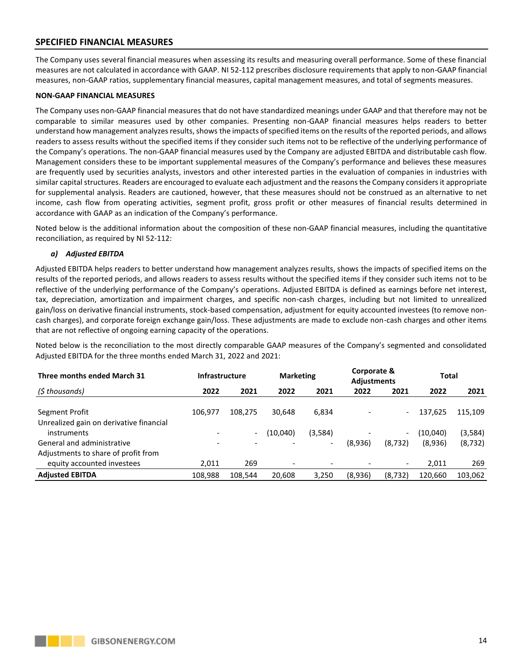# <span id="page-14-0"></span>**SPECIFIED FINANCIAL MEASURES**

The Company uses several financial measures when assessing its results and measuring overall performance. Some of these financial measures are not calculated in accordance with GAAP. NI 52-112 prescribes disclosure requirements that apply to non-GAAP financial measures, non-GAAP ratios, supplementary financial measures, capital management measures, and total of segments measures.

## **NON-GAAP FINANCIAL MEASURES**

The Company uses non-GAAP financial measures that do not have standardized meanings under GAAP and that therefore may not be comparable to similar measures used by other companies. Presenting non-GAAP financial measures helps readers to better understand how management analyzes results, shows the impacts of specified items on the results of the reported periods, and allows readers to assess results without the specified items if they consider such items not to be reflective of the underlying performance of the Company's operations. The non-GAAP financial measures used by the Company are adjusted EBITDA and distributable cash flow. Management considers these to be important supplemental measures of the Company's performance and believes these measures are frequently used by securities analysts, investors and other interested parties in the evaluation of companies in industries with similar capital structures. Readers are encouraged to evaluate each adjustment and the reasons the Company considers it appropriate for supplemental analysis. Readers are cautioned, however, that these measures should not be construed as an alternative to net income, cash flow from operating activities, segment profit, gross profit or other measures of financial results determined in accordance with GAAP as an indication of the Company's performance.

Noted below is the additional information about the composition of these non-GAAP financial measures, including the quantitative reconciliation, as required by NI 52-112:

## *a) Adjusted EBITDA*

Adjusted EBITDA helps readers to better understand how management analyzes results, shows the impacts of specified items on the results of the reported periods, and allows readers to assess results without the specified items if they consider such items not to be reflective of the underlying performance of the Company's operations. Adjusted EBITDA is defined as earnings before net interest, tax, depreciation, amortization and impairment charges, and specific non-cash charges, including but not limited to unrealized gain/loss on derivative financial instruments, stock-based compensation, adjustment for equity accounted investees (to remove noncash charges), and corporate foreign exchange gain/loss. These adjustments are made to exclude non-cash charges and other items that are not reflective of ongoing earning capacity of the operations.

Noted below is the reconciliation to the most directly comparable GAAP measures of the Company's segmented and consolidated Adjusted EBITDA for the three months ended March 31, 2022 and 2021:

| Three months ended March 31                               | <b>Infrastructure</b> |                              | <b>Marketing</b>         |         | Corporate &<br><b>Adjustments</b> |                          | <b>Total</b> |          |
|-----------------------------------------------------------|-----------------------|------------------------------|--------------------------|---------|-----------------------------------|--------------------------|--------------|----------|
| (\$ thousands)                                            | 2022                  | 2021                         | 2022                     | 2021    | 2022                              | 2021                     | 2022         | 2021     |
| Segment Profit<br>Unrealized gain on derivative financial | 106.977               | 108.275                      | 30.648                   | 6,834   |                                   | $\overline{\phantom{0}}$ | 137.625      | 115,109  |
| instruments                                               |                       | $\overline{\phantom{a}}$     | (10,040)                 | (3,584) |                                   | $\overline{\phantom{a}}$ | (10,040)     | (3, 584) |
| General and administrative                                |                       | $\qquad \qquad \blacksquare$ |                          |         | (8,936)                           | (8, 732)                 | (8,936)      | (8, 732) |
| Adjustments to share of profit from                       |                       |                              |                          |         |                                   |                          |              |          |
| equity accounted investees                                | 2.011                 | 269                          | $\overline{\phantom{a}}$ |         |                                   | $\overline{\phantom{a}}$ | 2.011        | 269      |
| <b>Adjusted EBITDA</b>                                    | 108.988               | 108.544                      | 20.608                   | 3.250   | (8,936)                           | (8, 732)                 | 120.660      | 103,062  |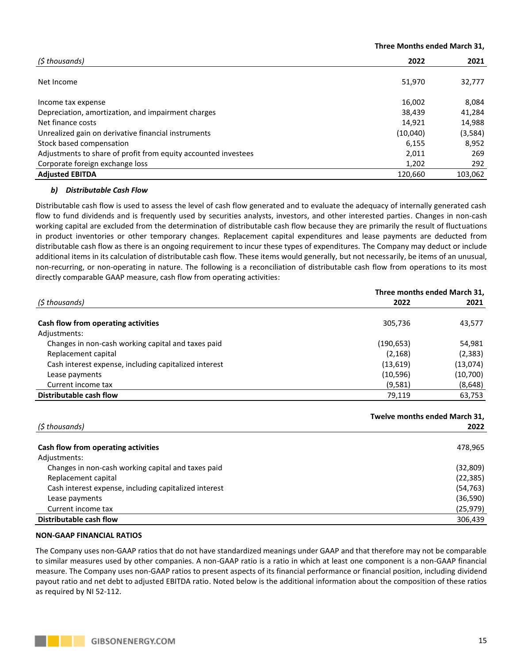|                                                                | Three Months ended March 31, |         |  |
|----------------------------------------------------------------|------------------------------|---------|--|
| (\$ thousands)                                                 | 2022                         | 2021    |  |
| Net Income                                                     | 51,970                       | 32,777  |  |
| Income tax expense                                             | 16,002                       | 8,084   |  |
| Depreciation, amortization, and impairment charges             | 38,439                       | 41,284  |  |
| Net finance costs                                              | 14.921                       | 14,988  |  |
| Unrealized gain on derivative financial instruments            | (10,040)                     | (3,584) |  |
| Stock based compensation                                       | 6.155                        | 8,952   |  |
| Adjustments to share of profit from equity accounted investees | 2,011                        | 269     |  |
| Corporate foreign exchange loss                                | 1,202                        | 292     |  |
| <b>Adiusted EBITDA</b>                                         | 120.660                      | 103,062 |  |

## *b) Distributable Cash Flow*

Distributable cash flow is used to assess the level of cash flow generated and to evaluate the adequacy of internally generated cash flow to fund dividends and is frequently used by securities analysts, investors, and other interested parties. Changes in non-cash working capital are excluded from the determination of distributable cash flow because they are primarily the result of fluctuations in product inventories or other temporary changes. Replacement capital expenditures and lease payments are deducted from distributable cash flow as there is an ongoing requirement to incur these types of expenditures. The Company may deduct or include additional items in its calculation of distributable cash flow. These items would generally, but not necessarily, be items of an unusual, non-recurring, or non-operating in nature. The following is a reconciliation of distributable cash flow from operations to its most directly comparable GAAP measure, cash flow from operating activities:

|                                                       | Three months ended March 31, |           |  |
|-------------------------------------------------------|------------------------------|-----------|--|
| (\$ thousands)                                        | 2022                         | 2021      |  |
| Cash flow from operating activities                   | 305,736                      | 43,577    |  |
| Adjustments:                                          |                              |           |  |
| Changes in non-cash working capital and taxes paid    | (190, 653)                   | 54,981    |  |
| Replacement capital                                   | (2, 168)                     | (2, 383)  |  |
| Cash interest expense, including capitalized interest | (13,619)                     | (13,074)  |  |
| Lease payments                                        | (10,596)                     | (10, 700) |  |
| Current income tax                                    | (9,581)                      | (8,648)   |  |
| Distributable cash flow                               | 79,119                       | 63,753    |  |
|                                                       |                              |           |  |

|                                                       | Twelve months ended March 31, |
|-------------------------------------------------------|-------------------------------|
| (\$ thousands)                                        | 2022                          |
|                                                       |                               |
| Cash flow from operating activities                   | 478,965                       |
| Adjustments:                                          |                               |
| Changes in non-cash working capital and taxes paid    | (32, 809)                     |
| Replacement capital                                   | (22, 385)                     |
| Cash interest expense, including capitalized interest | (54, 763)                     |
| Lease payments                                        | (36, 590)                     |
| Current income tax                                    | (25, 979)                     |
| Distributable cash flow                               | 306,439                       |

## **NON-GAAP FINANCIAL RATIOS**

The Company uses non-GAAP ratios that do not have standardized meanings under GAAP and that therefore may not be comparable to similar measures used by other companies. A non-GAAP ratio is a ratio in which at least one component is a non-GAAP financial measure. The Company uses non-GAAP ratios to present aspects of its financial performance or financial position, including dividend payout ratio and net debt to adjusted EBITDA ratio. Noted below is the additional information about the composition of these ratios as required by NI 52-112.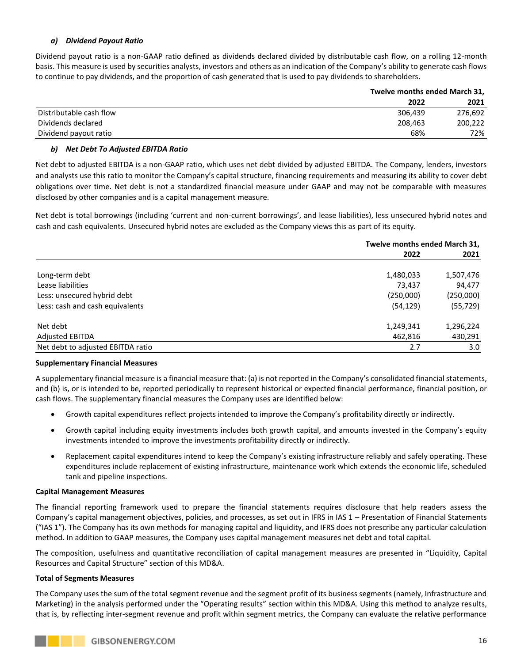## *a) Dividend Payout Ratio*

Dividend payout ratio is a non-GAAP ratio defined as dividends declared divided by distributable cash flow, on a rolling 12-month basis. This measure is used by securities analysts, investors and others as an indication of the Company's ability to generate cash flows to continue to pay dividends, and the proportion of cash generated that is used to pay dividends to shareholders.

|                         |         | Twelve months ended March 31, |  |  |
|-------------------------|---------|-------------------------------|--|--|
|                         | 2022    | 2021                          |  |  |
| Distributable cash flow | 306.439 | 276.692                       |  |  |
| Dividends declared      | 208.463 | 200.222                       |  |  |
| Dividend payout ratio   | 68%     | 72%                           |  |  |

# *b) Net Debt To Adjusted EBITDA Ratio*

Net debt to adjusted EBITDA is a non-GAAP ratio, which uses net debt divided by adjusted EBITDA. The Company, lenders, investors and analysts use this ratio to monitor the Company's capital structure, financing requirements and measuring its ability to cover debt obligations over time. Net debt is not a standardized financial measure under GAAP and may not be comparable with measures disclosed by other companies and is a capital management measure.

Net debt is total borrowings (including 'current and non-current borrowings', and lease liabilities), less unsecured hybrid notes and cash and cash equivalents. Unsecured hybrid notes are excluded as the Company views this as part of its equity.

|                                   | Twelve months ended March 31, |           |  |
|-----------------------------------|-------------------------------|-----------|--|
|                                   | 2022                          | 2021      |  |
| Long-term debt                    | 1,480,033                     | 1,507,476 |  |
| Lease liabilities                 | 73,437                        | 94,477    |  |
| Less: unsecured hybrid debt       | (250,000)                     | (250,000) |  |
| Less: cash and cash equivalents   | (54, 129)                     | (55, 729) |  |
| Net debt                          | 1,249,341                     | 1,296,224 |  |
| <b>Adjusted EBITDA</b>            | 462,816                       | 430,291   |  |
| Net debt to adjusted EBITDA ratio | 2.7                           | 3.0       |  |

## **Supplementary Financial Measures**

A supplementary financial measure is a financial measure that: (a) is not reported in the Company's consolidated financial statements, and (b) is, or is intended to be, reported periodically to represent historical or expected financial performance, financial position, or cash flows. The supplementary financial measures the Company uses are identified below:

- Growth capital expenditures reflect projects intended to improve the Company's profitability directly or indirectly.
- Growth capital including equity investments includes both growth capital, and amounts invested in the Company's equity investments intended to improve the investments profitability directly or indirectly.
- Replacement capital expenditures intend to keep the Company's existing infrastructure reliably and safely operating. These expenditures include replacement of existing infrastructure, maintenance work which extends the economic life, scheduled tank and pipeline inspections.

## **Capital Management Measures**

The financial reporting framework used to prepare the financial statements requires disclosure that help readers assess the Company's capital management objectives, policies, and processes, as set out in IFRS in IAS 1 – Presentation of Financial Statements ("IAS 1"). The Company has its own methods for managing capital and liquidity, and IFRS does not prescribe any particular calculation method. In addition to GAAP measures, the Company uses capital management measures net debt and total capital.

The composition, usefulness and quantitative reconciliation of capital management measures are presented in "Liquidity, Capital Resources and Capital Structure" section of this MD&A.

## **Total of Segments Measures**

The Company uses the sum of the total segment revenue and the segment profit of its business segments (namely, Infrastructure and Marketing) in the analysis performed under the "Operating results" section within this MD&A. Using this method to analyze results, that is, by reflecting inter-segment revenue and profit within segment metrics, the Company can evaluate the relative performance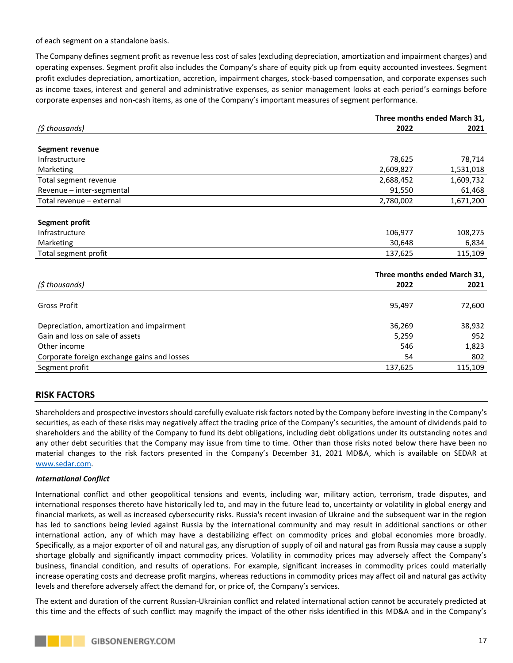of each segment on a standalone basis.

The Company defines segment profit as revenue less cost of sales (excluding depreciation, amortization and impairment charges) and operating expenses. Segment profit also includes the Company's share of equity pick up from equity accounted investees. Segment profit excludes depreciation, amortization, accretion, impairment charges, stock-based compensation, and corporate expenses such as income taxes, interest and general and administrative expenses, as senior management looks at each period's earnings before corporate expenses and non-cash items, as one of the Company's important measures of segment performance.

| Three months ended March 31, |                              |  |
|------------------------------|------------------------------|--|
| 2022                         | 2021                         |  |
|                              |                              |  |
|                              |                              |  |
| 78,625                       | 78,714                       |  |
| 2,609,827                    | 1,531,018                    |  |
| 2,688,452                    | 1,609,732                    |  |
| 91,550                       | 61,468                       |  |
| 2,780,002                    | 1,671,200                    |  |
|                              |                              |  |
|                              |                              |  |
| 106,977                      | 108,275                      |  |
| 30,648                       | 6,834                        |  |
| 137,625                      | 115,109                      |  |
|                              |                              |  |
|                              | Three months ended March 31, |  |
| 2022                         | 2021                         |  |
|                              |                              |  |
| 95,497                       | 72,600                       |  |
|                              |                              |  |
|                              | 38,932                       |  |
|                              | 952                          |  |
| 546                          | 1,823                        |  |
| 54                           | 802                          |  |
| 137,625                      | 115,109                      |  |
|                              | 36,269<br>5,259              |  |

# <span id="page-17-0"></span>**RISK FACTORS**

Shareholders and prospective investors should carefully evaluate risk factors noted by the Company before investing in the Company's securities, as each of these risks may negatively affect the trading price of the Company's securities, the amount of dividends paid to shareholders and the ability of the Company to fund its debt obligations, including debt obligations under its outstanding notes and any other debt securities that the Company may issue from time to time. Other than those risks noted below there have been no material changes to the risk factors presented in the Company's December 31, 2021 MD&A, which is available on SEDAR at [www.sedar.com.](http://www.sedar.com/)

## *International Conflict*

International conflict and other geopolitical tensions and events, including war, military action, terrorism, trade disputes, and international responses thereto have historically led to, and may in the future lead to, uncertainty or volatility in global energy and financial markets, as well as increased cybersecurity risks. Russia's recent invasion of Ukraine and the subsequent war in the region has led to sanctions being levied against Russia by the international community and may result in additional sanctions or other international action, any of which may have a destabilizing effect on commodity prices and global economies more broadly. Specifically, as a major exporter of oil and natural gas, any disruption of supply of oil and natural gas from Russia may cause a supply shortage globally and significantly impact commodity prices. Volatility in commodity prices may adversely affect the Company's business, financial condition, and results of operations. For example, significant increases in commodity prices could materially increase operating costs and decrease profit margins, whereas reductions in commodity prices may affect oil and natural gas activity levels and therefore adversely affect the demand for, or price of, the Company's services.

The extent and duration of the current Russian-Ukrainian conflict and related international action cannot be accurately predicted at this time and the effects of such conflict may magnify the impact of the other risks identified in this MD&A and in the Company's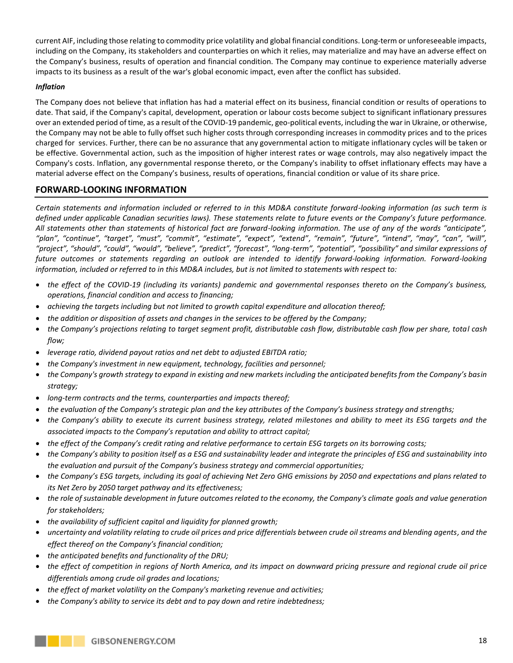current AIF, including those relating to commodity price volatility and global financial conditions. Long-term or unforeseeable impacts, including on the Company, its stakeholders and counterparties on which it relies, may materialize and may have an adverse effect on the Company's business, results of operation and financial condition. The Company may continue to experience materially adverse impacts to its business as a result of the war's global economic impact, even after the conflict has subsided.

# *Inflation*

The Company does not believe that inflation has had a material effect on its business, financial condition or results of operations to date. That said, if the Company's capital, development, operation or labour costs become subject to significant inflationary pressures over an extended period of time, as a result of the COVID-19 pandemic, geo-political events, including the war in Ukraine, or otherwise, the Company may not be able to fully offset such higher costs through corresponding increases in commodity prices and to the prices charged for services. Further, there can be no assurance that any governmental action to mitigate inflationary cycles will be taken or be effective. Governmental action, such as the imposition of higher interest rates or wage controls, may also negatively impact the Company's costs. Inflation, any governmental response thereto, or the Company's inability to offset inflationary effects may have a material adverse effect on the Company's business, results of operations, financial condition or value of its share price.

# <span id="page-18-0"></span>**FORWARD-LOOKING INFORMATION**

*Certain statements and information included or referred to in this MD&A constitute forward-looking information (as such term is defined under applicable Canadian securities laws). These statements relate to future events or the Company's future performance. All statements other than statements of historical fact are forward-looking information. The use of any of the words "anticipate", "plan", "continue", "target", "must", "commit", "estimate", "expect", "extend", "remain", "future", "intend", "may", "can", "will", "project", "should", "could", "would", "believe", "predict", "forecast", "long-term", "potential", "possibility" and similar expressions of future outcomes or statements regarding an outlook are intended to identify forward-looking information. Forward-looking information, included or referred to in this MD&A includes, but is not limited to statements with respect to:*

- the effect of the COVID-19 (including its variants) pandemic and governmental responses thereto on the Company's business, *operations, financial condition and access to financing;*
- *achieving the targets including but not limited to growth capital expenditure and allocation thereof;*
- *the addition or disposition of assets and changes in the services to be offered by the Company;*
- *the Company's projections relating to target segment profit, distributable cash flow, distributable cash flow per share, total cash flow;*
- *leverage ratio, dividend payout ratios and net debt to adjusted EBITDA ratio;*
- *the Company's investment in new equipment, technology, facilities and personnel;*
- *the Company's growth strategy to expand in existing and new markets including the anticipated benefits from the Company's basin strategy;*
- *long-term contracts and the terms, counterparties and impacts thereof;*
- *the evaluation of the Company's strategic plan and the key attributes of the Company's business strategy and strengths;*
- *the Company's ability to execute its current business strategy, related milestones and ability to meet its ESG targets and the associated impacts to the Company's reputation and ability to attract capital;*
- *the effect of the Company's credit rating and relative performance to certain ESG targets on its borrowing costs;*
- the Company's ability to position itself as a ESG and sustainability leader and integrate the principles of ESG and sustainability into *the evaluation and pursuit of the Company's business strategy and commercial opportunities;*
- *the Company's ESG targets, including its goal of achieving Net Zero GHG emissions by 2050 and expectations and plans related to its Net Zero by 2050 target pathway and its effectiveness;*
- *the role of sustainable development in future outcomes related to the economy, the Company's climate goals and value generation for stakeholders;*
- *the availability of sufficient capital and liquidity for planned growth;*
- *uncertainty and volatility relating to crude oil prices and price differentials between crude oil streams and blending agents, and the effect thereof on the Company's financial condition;*
- *the anticipated benefits and functionality of the DRU;*
- *the effect of competition in regions of North America, and its impact on downward pricing pressure and regional crude oil price differentials among crude oil grades and locations;*
- *the effect of market volatility on the Company's marketing revenue and activities;*
- *the Company's ability to service its debt and to pay down and retire indebtedness;*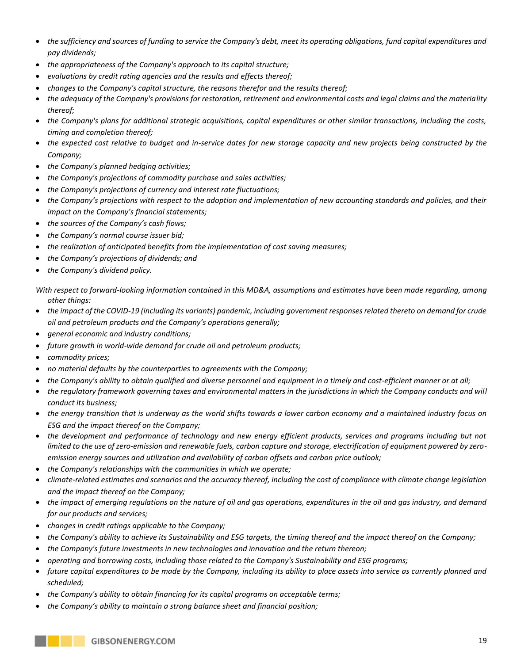- *the sufficiency and sources of funding to service the Company's debt, meet its operating obligations, fund capital expenditures and pay dividends;*
- *the appropriateness of the Company's approach to its capital structure;*
- *evaluations by credit rating agencies and the results and effects thereof;*
- *changes to the Company's capital structure, the reasons therefor and the results thereof;*
- *the adequacy of the Company's provisions for restoration, retirement and environmental costs and legal claims and the materiality thereof;*
- *the Company's plans for additional strategic acquisitions, capital expenditures or other similar transactions, including the costs, timing and completion thereof;*
- *the expected cost relative to budget and in-service dates for new storage capacity and new projects being constructed by the Company;*
- *the Company's planned hedging activities;*
- *the Company's projections of commodity purchase and sales activities;*
- *the Company's projections of currency and interest rate fluctuations;*
- *the Company's projections with respect to the adoption and implementation of new accounting standards and policies, and their impact on the Company's financial statements;*
- *the sources of the Company's cash flows;*
- *the Company's normal course issuer bid;*
- *the realization of anticipated benefits from the implementation of cost saving measures;*
- *the Company's projections of dividends; and*
- *the Company's dividend policy.*

*With respect to forward-looking information contained in this MD&A, assumptions and estimates have been made regarding, among other things:*

- *the impact of the COVID-19 (including its variants) pandemic, including government responses related thereto on demand for crude oil and petroleum products and the Company's operations generally;*
- *general economic and industry conditions;*
- *future growth in world-wide demand for crude oil and petroleum products;*
- *commodity prices;*
- *no material defaults by the counterparties to agreements with the Company;*
- *the Company's ability to obtain qualified and diverse personnel and equipment in a timely and cost-efficient manner or at all;*
- *the regulatory framework governing taxes and environmental matters in the jurisdictions in which the Company conducts and will conduct its business;*
- *the energy transition that is underway as the world shifts towards a lower carbon economy and a maintained industry focus on ESG and the impact thereof on the Company;*
- *the development and performance of technology and new energy efficient products, services and programs including but not limited to the use of zero-emission and renewable fuels, carbon capture and storage, electrification of equipment powered by zeroemission energy sources and utilization and availability of carbon offsets and carbon price outlook;*
- *the Company's relationships with the communities in which we operate;*
- *climate-related estimates and scenarios and the accuracy thereof, including the cost of compliance with climate change legislation and the impact thereof on the Company;*
- *the impact of emerging regulations on the nature of oil and gas operations, expenditures in the oil and gas industry, and demand for our products and services;*
- *changes in credit ratings applicable to the Company;*
- the Company's ability to achieve its Sustainability and ESG targets, the timing thereof and the impact thereof on the Company;
- *the Company's future investments in new technologies and innovation and the return thereon;*
- *operating and borrowing costs, including those related to the Company's Sustainability and ESG programs;*
- *future capital expenditures to be made by the Company, including its ability to place assets into service as currently planned and scheduled;*
- *the Company's ability to obtain financing for its capital programs on acceptable terms;*
- *the Company's ability to maintain a strong balance sheet and financial position;*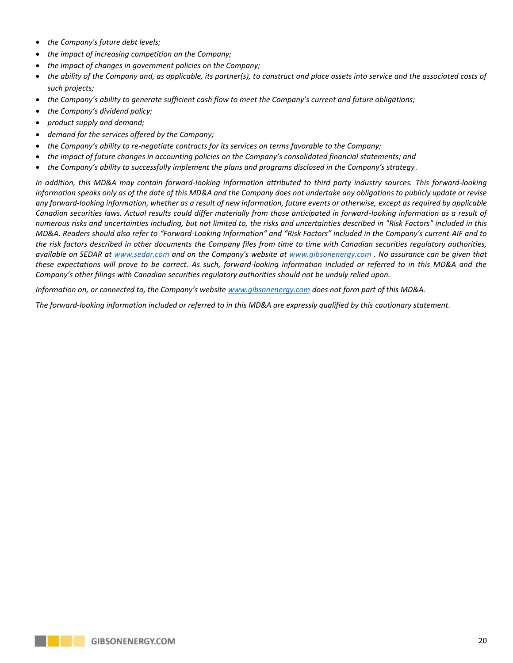- *the Company's future debt levels;*
- *the impact of increasing competition on the Company;*
- *the impact of changes in government policies on the Company;*
- *the ability of the Company and, as applicable, its partner(s), to construct and place assets into service and the associated costs of such projects;*
- *the Company's ability to generate sufficient cash flow to meet the Company's current and future obligations;*
- *the Company's dividend policy;*
- *product supply and demand;*
- *demand for the services offered by the Company;*
- *the Company's ability to re-negotiate contracts for its services on terms favorable to the Company;*
- the impact of future changes in accounting policies on the Company's consolidated financial statements; and
- *the Company's ability to successfully implement the plans and programs disclosed in the Company's strategy*.

*In addition, this MD&A may contain forward-looking information attributed to third party industry sources. This forward-looking information speaks only as of the date of this MD&A and the Company does not undertake any obligations to publicly update or revise any forward-looking information, whether as a result of new information, future events or otherwise, except as required by applicable Canadian securities laws. Actual results could differ materially from those anticipated in forward-looking information as a result of numerous risks and uncertainties including, but not limited to, the risks and uncertainties described in "Risk Factors" included in this MD&A. Readers should also refer to "Forward-Looking Information" and "Risk Factors" included in the Company's current AIF and to the risk factors described in other documents the Company files from time to time with Canadian securities regulatory authorities, available on SEDAR at [www.sedar.com](http://www.sedar.com/) and on the Company's website at [www.gibsonenergy.com](http://www.gibsonenergy.com/) . No assurance can be given that these expectations will prove to be correct. As such, forward-looking information included or referred to in this MD&A and the Company's other filings with Canadian securities regulatory authorities should not be unduly relied upon.*

*Information on, or connected to, the Company's website [www.gibsonenergy.com](http://www.gibsonenergy.com/) does not form part of this MD&A.* 

*The forward-looking information included or referred to in this MD&A are expressly qualified by this cautionary statement.*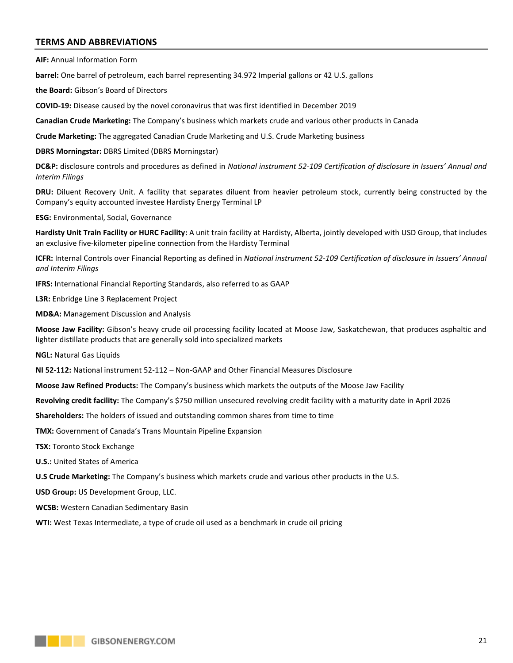# <span id="page-21-0"></span>**TERMS AND ABBREVIATIONS**

**AIF:** Annual Information Form

**barrel:** One barrel of petroleum, each barrel representing 34.972 Imperial gallons or 42 U.S. gallons

**the Board:** Gibson's Board of Directors

**COVID-19:** Disease caused by the novel coronavirus that was first identified in December 2019

**Canadian Crude Marketing:** The Company's business which markets crude and various other products in Canada

**Crude Marketing:** The aggregated Canadian Crude Marketing and U.S. Crude Marketing business

**DBRS Morningstar:** DBRS Limited (DBRS Morningstar)

**DC&P:** disclosure controls and procedures as defined in *National instrument 52-109 Certification of disclosure in Issuers' Annual and Interim Filings*

**DRU:** Diluent Recovery Unit. A facility that separates diluent from heavier petroleum stock, currently being constructed by the Company's equity accounted investee Hardisty Energy Terminal LP

**ESG:** Environmental, Social, Governance

**Hardisty Unit Train Facility or HURC Facility:** A unit train facility at Hardisty, Alberta, jointly developed with USD Group, that includes an exclusive five-kilometer pipeline connection from the Hardisty Terminal

**ICFR:** Internal Controls over Financial Reporting as defined in *National instrument 52-109 Certification of disclosure in Issuers' Annual and Interim Filings*

**IFRS:** International Financial Reporting Standards, also referred to as GAAP

**L3R:** Enbridge Line 3 Replacement Project

**MD&A:** Management Discussion and Analysis

**Moose Jaw Facility:** Gibson's heavy crude oil processing facility located at Moose Jaw, Saskatchewan, that produces asphaltic and lighter distillate products that are generally sold into specialized markets

**NGL:** Natural Gas Liquids

**NI 52-112:** National instrument 52-112 – Non-GAAP and Other Financial Measures Disclosure

**Moose Jaw Refined Products:** The Company's business which markets the outputs of the Moose Jaw Facility

**Revolving credit facility:** The Company's \$750 million unsecured revolving credit facility with a maturity date in April 2026

**Shareholders:** The holders of issued and outstanding common shares from time to time

**TMX:** Government of Canada's Trans Mountain Pipeline Expansion

**TSX:** Toronto Stock Exchange

**U.S.:** United States of America

**U.S Crude Marketing:** The Company's business which markets crude and various other products in the U.S.

**USD Group:** US Development Group, LLC.

**WCSB:** Western Canadian Sedimentary Basin

**WTI:** West Texas Intermediate, a type of crude oil used as a benchmark in crude oil pricing